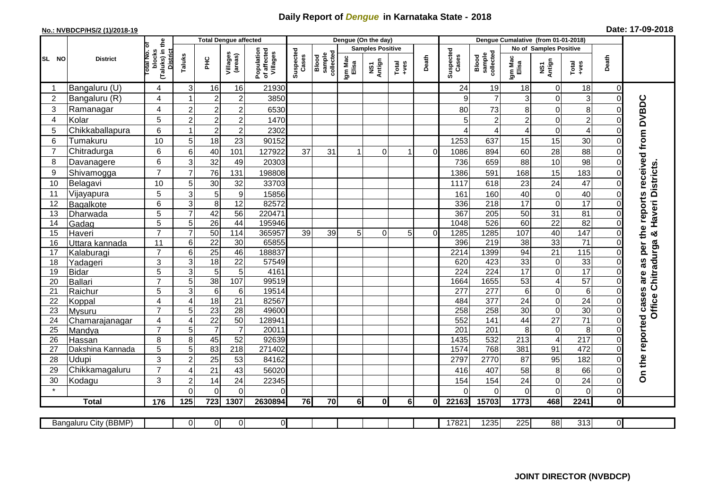## **Daily Report of** *Dengue* **in Karnataka State - 2018**

## **No.: NVBDCP/HS/2 (1)/2018-19 Date: 17-09-2018**

|                                                                                                                                                | <b>District</b>          |                                                      | <b>Total Dengue affected</b> |                       |                       |                                       |                    |                              |                         | Dengue (On the day) |                  |                |                    |                                     |                  |                         |                                    |                               |                                            |
|------------------------------------------------------------------------------------------------------------------------------------------------|--------------------------|------------------------------------------------------|------------------------------|-----------------------|-----------------------|---------------------------------------|--------------------|------------------------------|-------------------------|---------------------|------------------|----------------|--------------------|-------------------------------------|------------------|-------------------------|------------------------------------|-------------------------------|--------------------------------------------|
|                                                                                                                                                |                          |                                                      |                              |                       |                       |                                       | Suspected<br>Cases |                              | <b>Samples Positive</b> |                     |                  |                |                    |                                     |                  | No of Samples Positive  |                                    |                               |                                            |
| SL NO                                                                                                                                          |                          | (Taluks) in the<br>District<br>otal No. of<br>blocks | Taluks                       | Ξ                     | Villages<br>(areas)   | Population<br>of affected<br>Villages |                    | Blood<br>sample<br>collected | Igm Mac<br>Elisa        | NS1<br>Antign       | $Tota$<br>$+ves$ | Death          | Suspected<br>Cases | collected<br><b>Blood</b><br>sample | Igm Mac<br>Elisa | NS1<br>Antign           | $Tota$<br>$+ves$                   | Death                         |                                            |
|                                                                                                                                                | Bangaluru (U)            | $\overline{4}$                                       | 3                            | 16                    | 16                    | 21930                                 |                    |                              |                         |                     |                  |                | 24                 | 19                                  | 18               | 0                       | 18                                 | $\mathbf 0$                   |                                            |
| $\overline{2}$                                                                                                                                 | Bangaluru (R)            | 4                                                    |                              | $\overline{2}$        | $\overline{c}$        | 3850                                  |                    |                              |                         |                     |                  |                | 9                  | $\overline{7}$                      | 3                | 0                       | 3                                  | $\mathbf 0$                   |                                            |
| 3                                                                                                                                              | Ramanagar                | 4                                                    | $\overline{2}$               | $\overline{2}$        | $\overline{c}$        | 6530                                  |                    |                              |                         |                     |                  |                | 80                 | 73                                  | 8                | $\mathbf 0$             | 8                                  | $\Omega$                      | are as per the reports received from DVBDC |
| 4                                                                                                                                              | Kolar                    | 5                                                    | $\overline{2}$               | $\boldsymbol{2}$      | $\boldsymbol{2}$      | 1470                                  |                    |                              |                         |                     |                  |                | 5                  | $\overline{2}$                      | $\overline{c}$   | 0                       | $\overline{c}$                     | $\mathbf 0$                   |                                            |
| 5                                                                                                                                              | Chikkaballapura          | 6                                                    |                              | $\boldsymbol{2}$      | $\mathbf 2$           | 2302                                  |                    |                              |                         |                     |                  |                | ⊿                  | 4                                   | 4                | 0                       | $\overline{4}$                     | $\mathbf 0$                   |                                            |
| 6                                                                                                                                              | Tumakuru                 | 10                                                   | 5                            | 18                    | 23                    | 90152                                 |                    |                              |                         |                     |                  |                | 1253               | 637                                 | 15               | 15                      | 30                                 | $\Omega$                      |                                            |
| $\overline{7}$                                                                                                                                 | Chitradurga              | 6                                                    | 6                            | 40                    | 101                   | 127922                                | 37                 | 31                           |                         | 0                   | $\mathbf 1$      | $\overline{0}$ | 1086               | 894                                 | 60               | 28                      | 88                                 | $\Omega$                      |                                            |
| 8                                                                                                                                              | Davanagere               | 6                                                    | 3                            | 32                    | 49                    | 20303                                 |                    |                              |                         |                     |                  |                | 736                | 659                                 | 88               | 10                      | 98                                 | $\mathbf 0$                   |                                            |
| 9                                                                                                                                              | Shivamogga               | $\overline{7}$                                       | $\overline{7}$               | 76                    | 131                   | 198808                                |                    |                              |                         |                     |                  |                | 1386               | 591                                 | 168              | 15                      | 183                                | $\Omega$                      |                                            |
| 10                                                                                                                                             | Belagavi                 | 10                                                   | 5                            | 30                    | 32                    | 33703                                 |                    |                              |                         |                     |                  |                | 1117               | 618                                 | 23               | 24                      | 47                                 | $\mathbf 0$                   | Haveri Districts                           |
| 11                                                                                                                                             | Vijayapura               | 5                                                    | 3                            | 5                     | $\boldsymbol{9}$      | 15856                                 |                    |                              |                         |                     |                  |                | 161                | 160                                 | 40               | 0                       | 40                                 | $\Omega$                      |                                            |
| 12                                                                                                                                             | Bagalkote                | 6                                                    | 3                            | 8                     | 12                    | 82572                                 |                    |                              |                         |                     |                  |                | 336                | 218                                 | 17               | 0                       | 17                                 | $\Omega$                      |                                            |
| 13                                                                                                                                             | Dharwada                 | 5                                                    | $\overline{7}$               | 42                    | $\overline{56}$       | 220471                                |                    |                              |                         |                     |                  |                | 367                | 205                                 | 50               | $\overline{31}$         | 81                                 | $\mathbf 0$                   |                                            |
| 14                                                                                                                                             | Gadag                    | $\overline{5}$                                       | 5                            | $\overline{26}$       | $\overline{44}$       | 195946                                |                    |                              |                         |                     |                  |                | 1048               | 526                                 | 60               | $\overline{22}$         | 82                                 | $\mathbf 0$                   |                                            |
| 15                                                                                                                                             | Haveri                   | $\overline{7}$                                       | $\overline{7}$               | 50                    | 114                   | 365957                                | 39                 | 39                           | 5                       | $\Omega$            | 5 <sup>1</sup>   | $\Omega$       | 1285               | 1285                                | 107              | 40                      | 147                                | $\mathbf 0$                   | ×                                          |
| 16                                                                                                                                             | Uttara kannada           | 11                                                   | 6                            | $\overline{22}$       | 30                    | 65855                                 |                    |                              |                         |                     |                  |                | 396                | 219                                 | 38               | 33                      | $\overline{71}$                    | $\Omega$                      |                                            |
| 17                                                                                                                                             | Kalaburagi               | $\overline{7}$                                       | 6                            | 25                    | 46                    | 188837                                |                    |                              |                         |                     |                  |                | 2214               | 1399                                | 94               | 21                      | 115                                | $\mathbf 0$                   |                                            |
| 18                                                                                                                                             | Yadageri                 | 3                                                    | 3                            | $\overline{18}$       | 22                    | 57549                                 |                    |                              |                         |                     |                  |                | 620                | 423                                 | 33               | $\boldsymbol{0}$        | 33                                 | $\Omega$                      |                                            |
| 19                                                                                                                                             | Bidar                    | $\overline{5}$                                       | 3                            | $\overline{5}$        | 5                     | 4161                                  |                    |                              |                         |                     |                  |                | 224                | 224                                 | $\overline{17}$  | $\overline{0}$          | 17                                 | $\Omega$                      |                                            |
| 20                                                                                                                                             | Ballari                  | $\overline{7}$                                       | 5                            | 38                    | 107                   | 99519                                 |                    |                              |                         |                     |                  |                | 1664               | 1655                                | 53               | $\overline{\mathbf{4}}$ | 57                                 | $\mathbf 0$                   | Chitradurga                                |
| 21                                                                                                                                             | Raichur                  | $\overline{5}$                                       | 3                            | $6\phantom{1}6$       | 6                     | 19514                                 |                    |                              |                         |                     |                  |                | $\overline{277}$   | $\overline{277}$                    | 6                | 0                       | $\overline{6}$                     | $\mathbf 0$                   |                                            |
| 22                                                                                                                                             | Koppal                   | $\overline{4}$<br>$\overline{7}$                     | $\overline{4}$               | $\overline{18}$       | 21<br>$\overline{28}$ | 82567<br>49600                        |                    |                              |                         |                     |                  |                | 484<br>258         | 377<br>258                          | 24<br>30         | 0<br>$\overline{0}$     | $\overline{24}$<br>$\overline{30}$ | $\mathbf 0$<br>$\overline{0}$ | Office                                     |
| 23<br>24                                                                                                                                       | Mysuru                   | $\overline{4}$                                       | 5<br>$\overline{4}$          | 23<br>$\overline{22}$ | 50                    | 128941                                |                    |                              |                         |                     |                  |                | 552                | 141                                 | 44               | $\overline{27}$         | $\overline{71}$                    | $\mathbf 0$                   |                                            |
| 25                                                                                                                                             | Chamarajanagar<br>Mandya | $\overline{7}$                                       | 5                            | $\overline{7}$        | $\overline{7}$        | 20011                                 |                    |                              |                         |                     |                  |                | 201                | 201                                 | 8                | $\pmb{0}$               | 8                                  | $\Omega$                      |                                            |
| 26                                                                                                                                             | Hassan                   | 8                                                    | 8                            | 45                    | 52                    | 92639                                 |                    |                              |                         |                     |                  |                | 1435               | 532                                 | 213              | $\overline{4}$          | $\overline{217}$                   | $\mathbf 0$                   |                                            |
| 27                                                                                                                                             | Dakshina Kannada         | 5                                                    | 5                            | 83                    | $\overline{218}$      | 271402                                |                    |                              |                         |                     |                  |                | 1574               | 768                                 | 381              | 91                      | 472                                | $\mathbf 0$                   |                                            |
| 28                                                                                                                                             | Udupi                    | 3                                                    | $\overline{2}$               | 25                    | 53                    | 84162                                 |                    |                              |                         |                     |                  |                | 2797               | 2770                                | 87               | 95                      | 182                                | $\Omega$                      |                                            |
| 29                                                                                                                                             | Chikkamagaluru           | $\overline{7}$                                       | 4                            | 21                    | 43                    | 56020                                 |                    |                              |                         |                     |                  |                | 416                | 407                                 | 58               | 8                       | 66                                 | 0                             |                                            |
| 30                                                                                                                                             | Kodagu                   | 3                                                    | $\overline{2}$               | 14                    | 24                    | 22345                                 |                    |                              |                         |                     |                  |                | 154                | 154                                 | 24               | 0                       | 24                                 | $\mathbf 0$                   | On the reported cases                      |
| $\star$                                                                                                                                        |                          |                                                      | $\Omega$                     | $\Omega$              | $\Omega$              | $\Omega$                              |                    |                              |                         |                     |                  |                | ∩                  | $\Omega$                            | 0                | $\overline{0}$          | $\overline{O}$                     | $\mathbf 0$                   |                                            |
|                                                                                                                                                | <b>Total</b>             | 176                                                  | 125                          | 723                   | 1307                  | 2630894                               | 76                 | 70                           | 6                       | 0l                  | 6l               | Οl             | 22163              | 15703                               | 1773             | 468                     | 2241                               | $\mathbf 0$                   |                                            |
|                                                                                                                                                |                          |                                                      |                              |                       |                       |                                       |                    |                              |                         |                     |                  |                |                    |                                     |                  |                         |                                    |                               |                                            |
| O<br>$\overline{0}$<br>17821<br>1235<br>225<br>88<br>313<br>$\overline{0}$<br><b>Bangaluru City (BBMP)</b><br>$\overline{0}$<br>$\overline{0}$ |                          |                                                      |                              |                       |                       |                                       |                    |                              |                         |                     |                  |                |                    |                                     |                  |                         |                                    |                               |                                            |